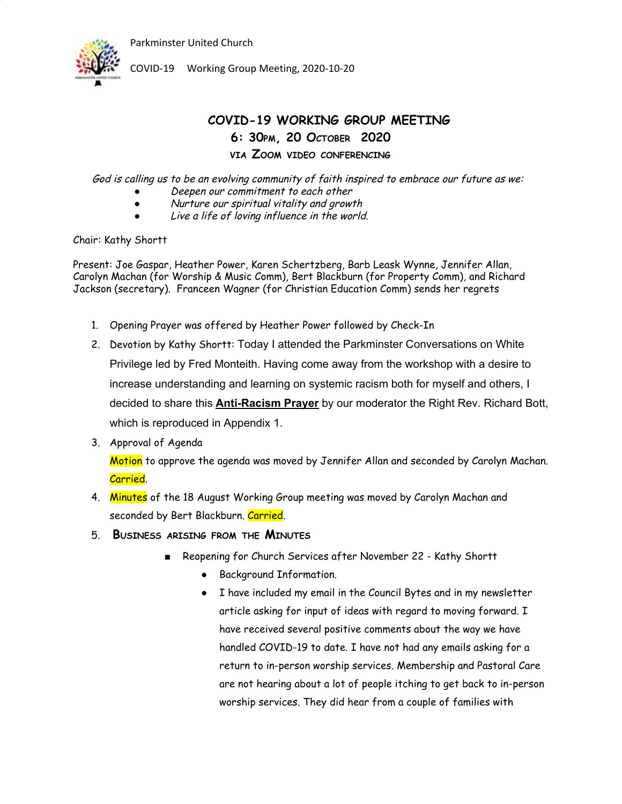

COVID-19 Working Group Meeting, 2020-10-20

## **COVID-19 WORKING GROUP MEETING 6: 30PM, 20 OCTOBER 2020 VIA ZOOM VIDEO CONFERENCING**

God is calling us to be an evolving community of faith inspired to embrace our future as we:

- Deepen our commitment to each other
- Nurture our spiritual vitality and growth
- Live <sup>a</sup> life of loving influence in the world.

Chair: Kathy Shortt

Present: Joe Gaspar, Heather Power, Karen Schertzberg, Barb Leask Wynne, Jennifer Allan, Carolyn Machan (for Worship & Music Comm), Bert Blackburn (for Property Comm), and Richard Jackson (secretary). Franceen Wagner (for Christian Education Comm) sends her regrets

- 1. Opening Prayer was offered by Heather Power followed by Check-In
- 2. Devotion by Kathy Shortt: Today I attended the Parkminster Conversations on White Privilege led by Fred Monteith. Having come away from the workshop with a desire to increase understanding and learning on systemic racism both for myself and others, I decided to share this **Anti-Racism Prayer** by our moderator the Right Rev. Richard Bott, which is reproduced in Appendix 1.
- 3. Approval of Agenda

Motion to approve the agenda was moved by Jennifer Allan and seconded by Carolyn Machan. Carried.

- 4. Minutes of the 18 August Working Group meeting was moved by Carolyn Machan and seconded by Bert Blackburn. Carried.
- 5. **BUSINESS ARISING FROM THE MINUTES**
	- Reopening for Church Services after November 22 Kathy Shortt
		- Background Information.
		- I have included my email in the Council Bytes and in my newsletter article asking for input of ideas with regard to moving forward. I have received several positive comments about the way we have handled COVID-19 to date. I have not had any emails asking for a return to in-person worship services. Membership and Pastoral Care are not hearing about a lot of people itching to get back to in-person worship services. They did hear from a couple of families with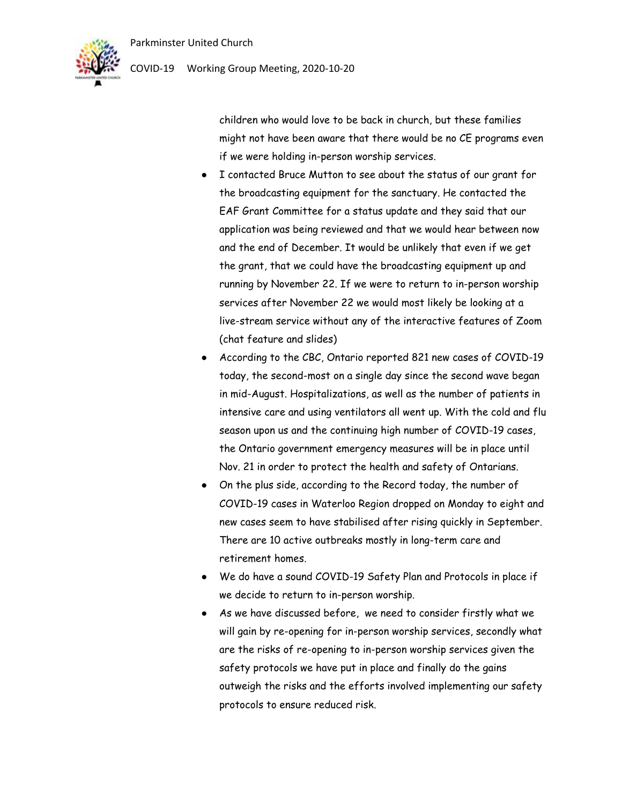

## COVID-19 Working Group Meeting, 2020-10-20

children who would love to be back in church, but these families might not have been aware that there would be no CE programs even if we were holding in-person worship services.

- I contacted Bruce Mutton to see about the status of our grant for the broadcasting equipment for the sanctuary. He contacted the EAF Grant Committee for a status update and they said that our application was being reviewed and that we would hear between now and the end of December. It would be unlikely that even if we get the grant, that we could have the broadcasting equipment up and running by November 22. If we were to return to in-person worship services after November 22 we would most likely be looking at a live-stream service without any of the interactive features of Zoom (chat feature and slides)
- According to the CBC, Ontario reported 821 new cases of COVID-19 today, the second-most on a single day since the second wave began in mid-August. Hospitalizations, as well as the number of patients in intensive care and using ventilators all went up. With the cold and flu season upon us and the continuing high number of COVID-19 cases, the Ontario government emergency measures will be in place until Nov. 21 in order to protect the health and safety of Ontarians.
- On the plus side, according to the Record today, the number of COVID-19 cases in Waterloo Region dropped on Monday to eight and new cases seem to have stabilised after rising quickly in September. There are 10 active outbreaks mostly in long-term care and retirement homes.
- We do have a sound COVID-19 Safety Plan and Protocols in place if we decide to return to in-person worship.
- As we have discussed before, we need to consider firstly what we will gain by re-opening for in-person worship services, secondly what are the risks of re-opening to in-person worship services given the safety protocols we have put in place and finally do the gains outweigh the risks and the efforts involved implementing our safety protocols to ensure reduced risk.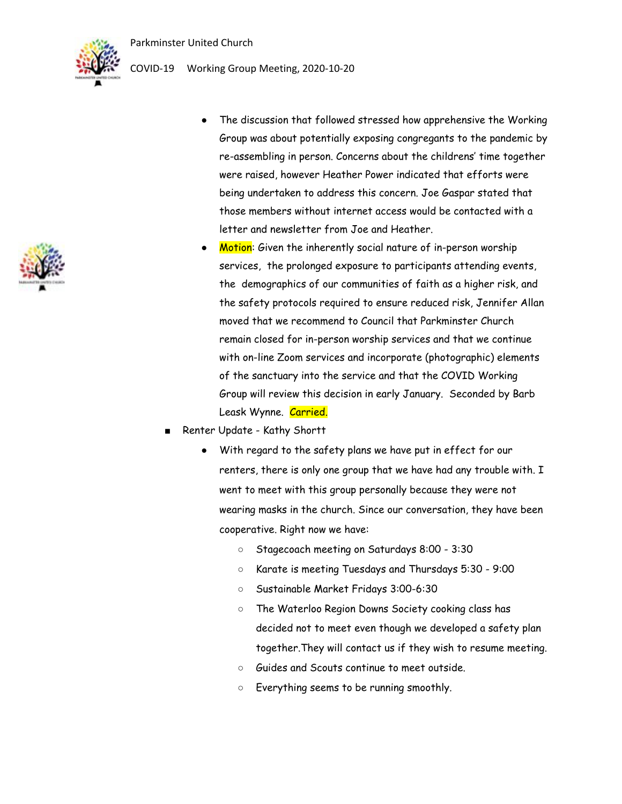COVID-19 Working Group Meeting, 2020-10-20



The discussion that followed stressed how apprehensive the Working Group was about potentially exposing congregants to the pandemic by re-assembling in person. Concerns about the childrens' time together were raised, however Heather Power indicated that efforts were being undertaken to address this concern. Joe Gaspar stated that

letter and newsletter from Joe and Heather.

Motion: Given the inherently social nature of in-person worship services, the prolonged exposure to participants attending events, the demographics of our communities of faith as a higher risk, and the safety protocols required to ensure reduced risk, Jennifer Allan moved that we recommend to Council that Parkminster Church remain closed for in-person worship services and that we continue with on-line Zoom services and incorporate (photographic) elements of the sanctuary into the service and that the COVID Working Group will review this decision in early January. Seconded by Barb Leask Wynne. Carried.

those members without internet access would be contacted with a

- Renter Update Kathy Shortt
	- With regard to the safety plans we have put in effect for our renters, there is only one group that we have had any trouble with. I went to meet with this group personally because they were not wearing masks in the church. Since our conversation, they have been cooperative. Right now we have:
		- Stagecoach meeting on Saturdays 8:00 3:30
		- Karate is meeting Tuesdays and Thursdays 5:30 9:00
		- Sustainable Market Fridays 3:00-6:30
		- The Waterloo Region Downs Society cooking class has decided not to meet even though we developed a safety plan together.They will contact us if they wish to resume meeting.
		- Guides and Scouts continue to meet outside.
		- Everything seems to be running smoothly.

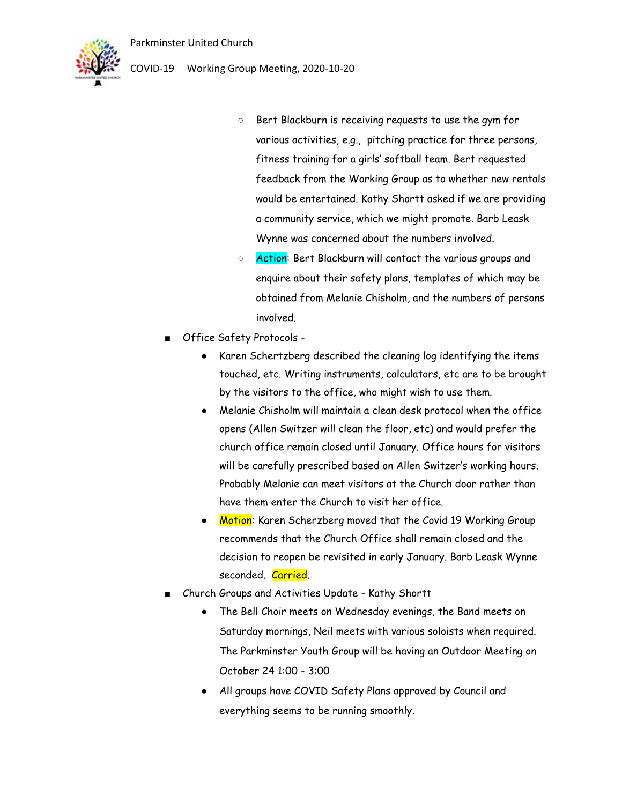

- COVID-19 Working Group Meeting, 2020-10-20
	- Bert Blackburn is receiving requests to use the gym for various activities, e.g., pitching practice for three persons, fitness training for a girls' softball team. Bert requested feedback from the Working Group as to whether new rentals would be entertained. Kathy Shortt asked if we are providing a community service, which we might promote. Barb Leask Wynne was concerned about the numbers involved.
	- o Action: Bert Blackburn will contact the various groups and enquire about their safety plans, templates of which may be obtained from Melanie Chisholm, and the numbers of persons involved.
	- Office Safety Protocols -
		- Karen Schertzberg described the cleaning log identifying the items touched, etc. Writing instruments, calculators, etc are to be brought by the visitors to the office, who might wish to use them.
		- Melanie Chisholm will maintain a clean desk protocol when the office opens (Allen Switzer will clean the floor, etc) and would prefer the church office remain closed until January. Office hours for visitors will be carefully prescribed based on Allen Switzer's working hours. Probably Melanie can meet visitors at the Church door rather than have them enter the Church to visit her office.
		- Motion: Karen Scherzberg moved that the Covid 19 Working Group recommends that the Church Office shall remain closed and the decision to reopen be revisited in early January. Barb Leask Wynne seconded. Carried.
	- Church Groups and Activities Update Kathy Shortt
		- The Bell Choir meets on Wednesday evenings, the Band meets on Saturday mornings, Neil meets with various soloists when required. The Parkminster Youth Group will be having an Outdoor Meeting on October 24 1:00 - 3:00
		- All groups have COVID Safety Plans approved by Council and everything seems to be running smoothly.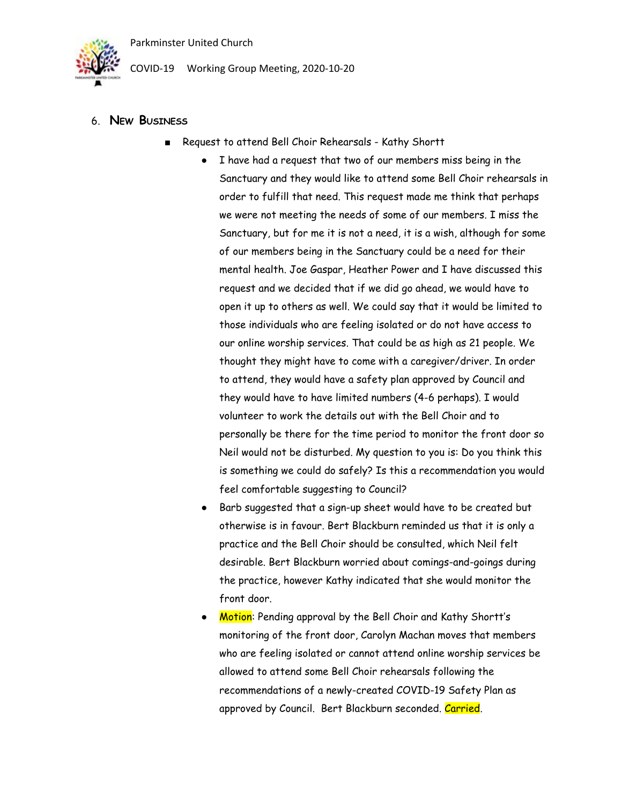

COVID-19 Working Group Meeting, 2020-10-20

- 6. **NEW BUSINESS**
	- Request to attend Bell Choir Rehearsals Kathy Shortt
		- I have had a request that two of our members miss being in the Sanctuary and they would like to attend some Bell Choir rehearsals in order to fulfill that need. This request made me think that perhaps we were not meeting the needs of some of our members. I miss the Sanctuary, but for me it is not a need, it is a wish, although for some of our members being in the Sanctuary could be a need for their mental health. Joe Gaspar, Heather Power and I have discussed this request and we decided that if we did go ahead, we would have to open it up to others as well. We could say that it would be limited to those individuals who are feeling isolated or do not have access to our online worship services. That could be as high as 21 people. We thought they might have to come with a caregiver/driver. In order to attend, they would have a safety plan approved by Council and they would have to have limited numbers (4-6 perhaps). I would volunteer to work the details out with the Bell Choir and to personally be there for the time period to monitor the front door so Neil would not be disturbed. My question to you is: Do you think this is something we could do safely? Is this a recommendation you would feel comfortable suggesting to Council?
		- Barb suggested that a sign-up sheet would have to be created but otherwise is in favour. Bert Blackburn reminded us that it is only a practice and the Bell Choir should be consulted, which Neil felt desirable. Bert Blackburn worried about comings-and-goings during the practice, however Kathy indicated that she would monitor the front door.
		- Motion: Pending approval by the Bell Choir and Kathy Shortt's monitoring of the front door, Carolyn Machan moves that members who are feeling isolated or cannot attend online worship services be allowed to attend some Bell Choir rehearsals following the recommendations of a newly-created COVID-19 Safety Plan as approved by Council. Bert Blackburn seconded. Carried.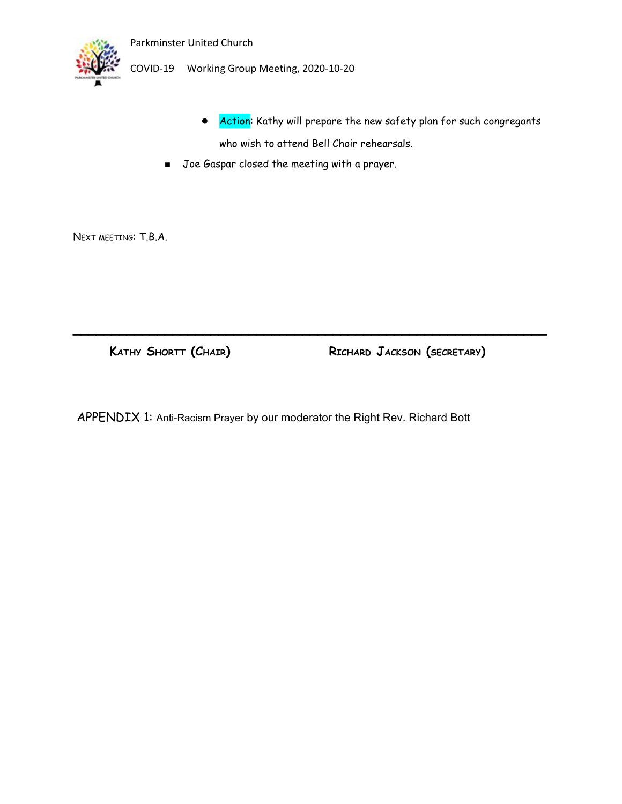

COVID-19 Working Group Meeting, 2020-10-20

- Action: Kathy will prepare the new safety plan for such congregants who wish to attend Bell Choir rehearsals.
- Joe Gaspar closed the meeting with a prayer.

NEXT MEETING: T.B.A.

**KATHY SHORTT (CHAIR) RICHARD JACKSON (SECRETARY)**

APPENDIX 1: Anti-Racism Prayer by our moderator the Right Rev. Richard Bott

**\_\_\_\_\_\_\_\_\_\_\_\_\_\_\_\_\_\_\_\_\_\_\_\_\_\_\_\_\_\_\_\_\_\_\_\_\_\_\_\_\_\_\_\_\_\_\_\_\_\_\_\_\_\_\_\_\_\_\_\_\_\_**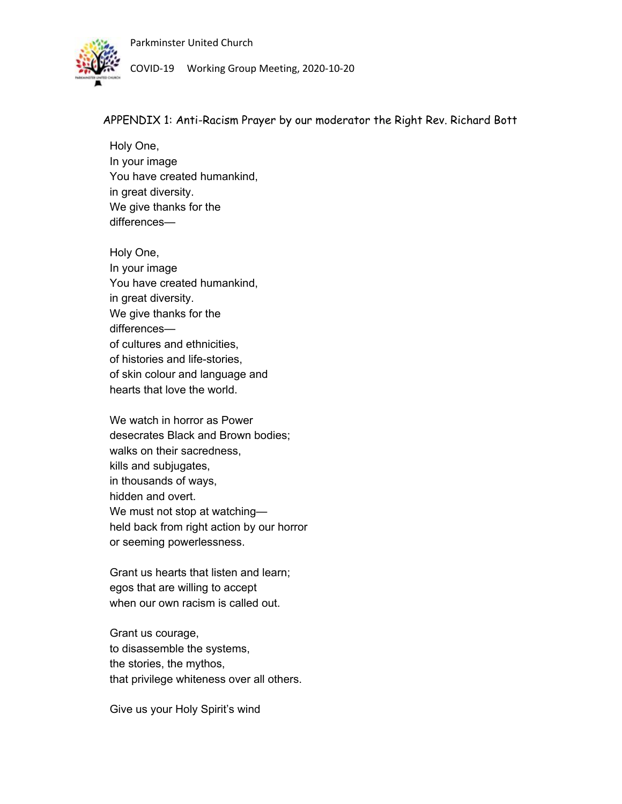

COVID-19 Working Group Meeting, 2020-10-20

APPENDIX 1: Anti-Racism Prayer by our moderator the Right Rev. Richard Bott

Holy One, In your image You have created humankind, in great diversity. We give thanks for the differences—

Holy One, In your image You have created humankind, in great diversity. We give thanks for the differences of cultures and ethnicities, of histories and life-stories, of skin colour and language and hearts that love the world.

We watch in horror as Power desecrates Black and Brown bodies; walks on their sacredness, kills and subjugates, in thousands of ways, hidden and overt. We must not stop at watchingheld back from right action by our horror or seeming powerlessness.

Grant us hearts that listen and learn; egos that are willing to accept when our own racism is called out.

Grant us courage, to disassemble the systems, the stories, the mythos, that privilege whiteness over all others.

Give us your Holy Spirit's wind